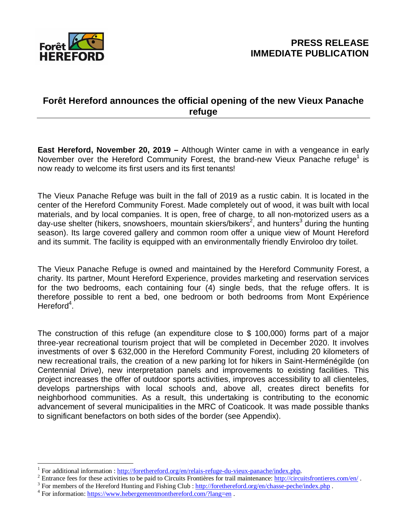

### **Forêt Hereford announces the official opening of the new Vieux Panache refuge**

**East Hereford, November 20, 2019 –** Although Winter came in with a vengeance in early November over the Hereford Community Forest, the brand-new Vieux Panache refuge<sup>1</sup> is now ready to welcome its first users and its first tenants!

The Vieux Panache Refuge was built in the fall of 2019 as a rustic cabin. It is located in the center of the Hereford Community Forest. Made completely out of wood, it was built with local materials, and by local companies. It is open, free of charge, to all non-motorized users as a day-use shelter (hikers, snowshoers, mountain skiers/bikers<sup>2</sup>, and hunters<sup>3</sup> during the hunting season). Its large covered gallery and common room offer a unique view of Mount Hereford and its summit. The facility is equipped with an environmentally friendly Enviroloo dry toilet.

The Vieux Panache Refuge is owned and maintained by the Hereford Community Forest, a charity. Its partner, Mount Hereford Experience, provides marketing and reservation services for the two bedrooms, each containing four (4) single beds, that the refuge offers. It is therefore possible to rent a bed, one bedroom or both bedrooms from Mont Expérience Hereford<sup>4</sup>.

The construction of this refuge (an expenditure close to \$ 100,000) forms part of a major three-year recreational tourism project that will be completed in December 2020. It involves investments of over \$ 632,000 in the Hereford Community Forest, including 20 kilometers of new recreational trails, the creation of a new parking lot for hikers in Saint-Herménégilde (on Centennial Drive), new interpretation panels and improvements to existing facilities. This project increases the offer of outdoor sports activities, improves accessibility to all clienteles, develops partnerships with local schools and, above all, creates direct benefits for neighborhood communities. As a result, this undertaking is contributing to the economic advancement of several municipalities in the MRC of Coaticook. It was made possible thanks to significant benefactors on both sides of the border (see Appendix).

<sup>&</sup>lt;sup>1</sup> For additional information : <u>http://forethereford.org/en/relais-refuge-du-vieux-panache/index.php</u>.

<sup>&</sup>lt;sup>2</sup> Entrance fees for these activities to be paid to Circuits Frontières for trail maintenance: <http://circuitsfrontieres.com/en/>.

<sup>&</sup>lt;sup>3</sup> For members of the Hereford Hunting and Fishing Club :<http://forethereford.org/en/chasse-peche/index.php>.

<sup>&</sup>lt;sup>4</sup> For information:<https://www.hebergementmonthereford.com/?lang=en>.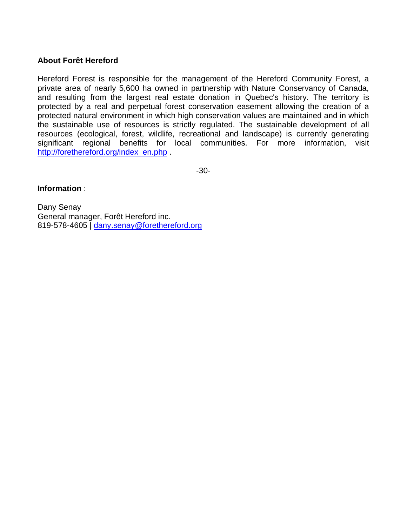#### **About Forêt Hereford**

Hereford Forest is responsible for the management of the Hereford Community Forest, a private area of nearly 5,600 ha owned in partnership with Nature Conservancy of Canada, and resulting from the largest real estate donation in Quebec's history. The territory is protected by a real and perpetual forest conservation easement allowing the creation of a protected natural environment in which high conservation values are maintained and in which the sustainable use of resources is strictly regulated. The sustainable development of all resources (ecological, forest, wildlife, recreational and landscape) is currently generating significant regional benefits for local communities. For more information, visit [http://forethereford.org/index\\_en.php](http://forethereford.org/index_en.php) .

-30-

#### **Information** :

Dany Senay General manager, Forêt Hereford inc. 819-578-4605 | [dany.senay@forethereford.org](mailto:dany.senay@forethereford.org)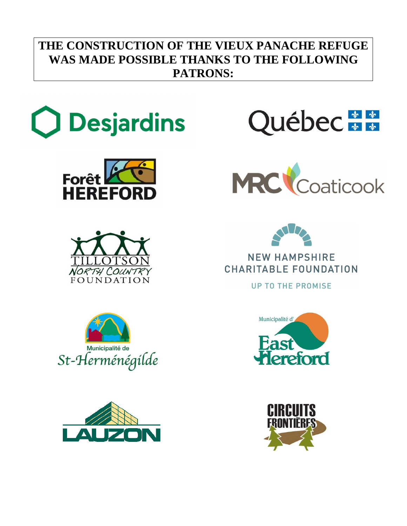# **THE CONSTRUCTION OF THE VIEUX PANACHE REFUGE WAS MADE POSSIBLE THANKS TO THE FOLLOWING PATRONS:**











**NEW HAMPSHIRE** CHARITABLE FOUNDATION

**UP TO THE PROMISE**